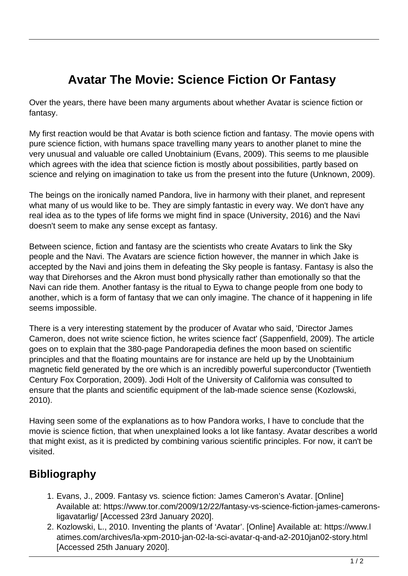## **Avatar The Movie: Science Fiction Or Fantasy**

Over the years, there have been many arguments about whether Avatar is science fiction or fantasy.

My first reaction would be that Avatar is both science fiction and fantasy. The movie opens with pure science fiction, with humans space travelling many years to another planet to mine the very unusual and valuable ore called Unobtainium (Evans, 2009). This seems to me plausible which agrees with the idea that science fiction is mostly about possibilities, partly based on science and relying on imagination to take us from the present into the future (Unknown, 2009).

The beings on the ironically named Pandora, live in harmony with their planet, and represent what many of us would like to be. They are simply fantastic in every way. We don't have any real idea as to the types of life forms we might find in space (University, 2016) and the Navi doesn't seem to make any sense except as fantasy.

Between science, fiction and fantasy are the scientists who create Avatars to link the Sky people and the Navi. The Avatars are science fiction however, the manner in which Jake is accepted by the Navi and joins them in defeating the Sky people is fantasy. Fantasy is also the way that Direhorses and the Akron must bond physically rather than emotionally so that the Navi can ride them. Another fantasy is the ritual to Eywa to change people from one body to another, which is a form of fantasy that we can only imagine. The chance of it happening in life seems impossible.

There is a very interesting statement by the producer of Avatar who said, 'Director James Cameron, does not write science fiction, he writes science fact' (Sappenfield, 2009). The article goes on to explain that the 380-page Pandorapedia defines the moon based on scientific principles and that the floating mountains are for instance are held up by the Unobtainium magnetic field generated by the ore which is an incredibly powerful superconductor (Twentieth Century Fox Corporation, 2009). Jodi Holt of the University of California was consulted to ensure that the plants and scientific equipment of the lab-made science sense (Kozlowski, 2010).

Having seen some of the explanations as to how Pandora works, I have to conclude that the movie is science fiction, that when unexplained looks a lot like fantasy. Avatar describes a world that might exist, as it is predicted by combining various scientific principles. For now, it can't be visited.

## **Bibliography**

- 1. Evans, J., 2009. Fantasy vs. science fiction: James Cameron's Avatar. [Online] Available at: https://www.tor.com/2009/12/22/fantasy-vs-science-fiction-james-cameronsligavatarlig/ [Accessed 23rd January 2020].
- 2. Kozlowski, L., 2010. Inventing the plants of 'Avatar'. [Online] Available at: https://www.l atimes.com/archives/la-xpm-2010-jan-02-la-sci-avatar-q-and-a2-2010jan02-story.html [Accessed 25th January 2020].